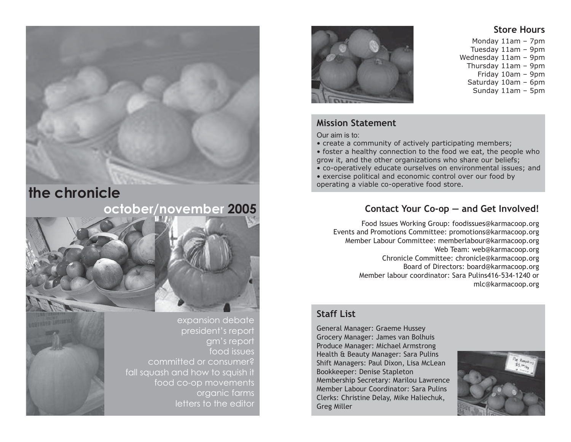## **the chronicle**

## **october/november 2005**



expansion debate president's report gm's report food issues committed or consumer? fall squash and how to squish it food co-op movements organic farms letters to the editor



## **Mission Statement**

Our aim is to:

• create a community of actively participating members;

• foster a healthy connection to the food we eat, the people who grow it, and the other organizations who share our beliefs;

• co-operatively educate ourselves on environmental issues; and

• exercise political and economic control over our food by operating a viable co-operative food store.

## **Contact Your Co-op — and Get Involved!**

Food Issues Working Group: foodissues@karmacoop.org Events and Promotions Committee: promotions@karmacoop.org Member Labour Committee: memberlabour@karmacoop.org Web Team: web@karmacoop.org Chronicle Committee: chronicle@karmacoop.org Board of Directors: board@karmacoop.org Member labour coordinator: Sara Pulins416-534-1240 or mlc@karmacoop.org

### **Staff List**

General Manager: Graeme Hussey Grocery Manager: James van Bolhuis Produce Manager: Michael Armstrong Health & Beauty Manager: Sara Pulins Shift Managers: Paul Dixon, Lisa McLean Bookkeeper: Denise Stapleton Membership Secretary: Marilou Lawrence Member Labour Coordinator: Sara Pulins Clerks: Christine Delay, Mike Haliechuk, Greg Miller



## **Store Hours**

Monday 11am – 7pm Tuesday 11am – 9pm Wednesday 11am – 9pm Thursday 11am – 9pm Friday 10am – 9pm Saturday 10am – 6pm Sunday 11am – 5pm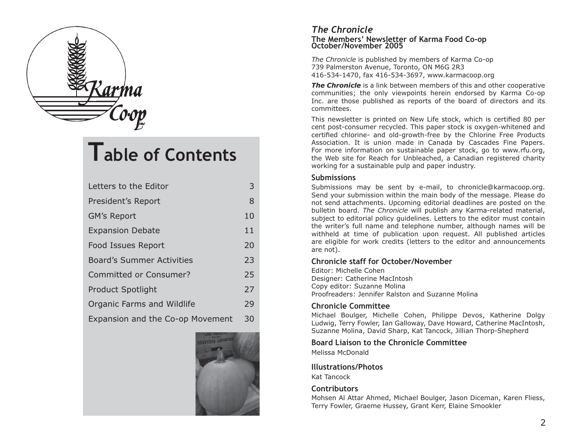

# **Table of Contents**

| Letters to the Editor            | 3  |
|----------------------------------|----|
| President's Report               | 8  |
| <b>GM's Report</b>               | 10 |
| <b>Expansion Debate</b>          | 11 |
| Food Issues Report               | 20 |
| <b>Board's Summer Activities</b> | 23 |
| <b>Committed or Consumer?</b>    | 25 |
| <b>Product Spotlight</b>         | 27 |
| Organic Farms and Wildlife       | 29 |
| Expansion and the Co-op Movement | 30 |



#### *The Chronicle* **The Members' Newsletter of Karma Food Co-op October/November 2005**

*The Chronicle* is published by members of Karma Co-op 739 Palmerston Avenue, Toronto, ON M6G 2R3 416-534-1470, fax 416-534-3697, www.karmacoop.org

*The Chronicle* is a link between members of this and other cooperative communities; the only viewpoints herein endorsed by Karma Co-op Inc. are those published as reports of the board of directors and its committees.

This newsletter is printed on New Life stock, which is certified 80 per cent post-consumer recycled. This paper stock is oxygen-whitened and certified chlorine- and old-growth-free by the Chlorine Free Products Association. It is union made in Canada by Cascades Fine Papers. For more information on sustainable paper stock, go to www.rfu.org, the Web site for Reach for Unbleached, a Canadian registered charity working for a sustainable pulp and paper industry.

#### **Submissions**

Submissions may be sent by e-mail, to chronicle@karmacoop.org. Send your submission within the main body of the message. Please do not send attachments. Upcoming editorial deadlines are posted on the bulletin board. *The Chronicle* will publish any Karma-related material, subject to editorial policy guidelines. Letters to the editor must contain the writer's full name and telephone number, although names will be withheld at time of publication upon request. All published articles are eligible for work credits (letters to the editor and announcements are not).

#### **Chronicle staff for October/November**

Editor: Michelle Cohen Designer: Catherine MacIntosh Copy editor: Suzanne Molina Proofreaders: Jennifer Ralston and Suzanne Molina

#### **Chronicle Committee**

Michael Boulger, Michelle Cohen, Philippe Devos, Katherine Dolgy Ludwig, Terry Fowler, Ian Galloway, Dave Howard, Catherine MacIntosh, Suzanne Molina, David Sharp, Kat Tancock, Jillian Thorp-Shepherd

#### **Board Liaison to the Chronicle Committee**

Melissa McDonald

#### **Illustrations/Photos**

Kat Tancock

#### **Contributors**

Mohsen Al Attar Ahmed, Michael Boulger, Jason Diceman, Karen Fliess, Terry Fowler, Graeme Hussey, Grant Kerr, Elaine Smookler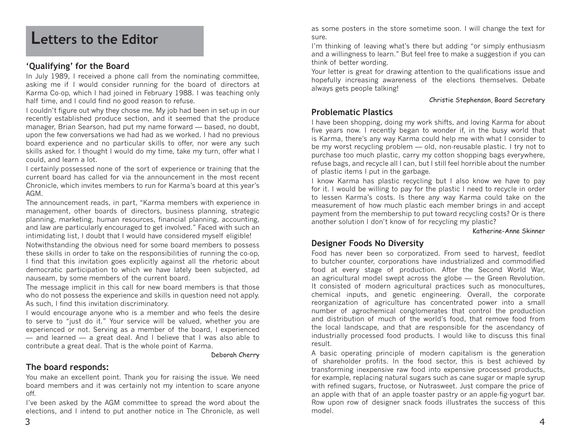## **Letters to the Editor**

### **'Qualifying' for the Board**

In July 1989, I received a phone call from the nominating committee, asking me if I would consider running for the board of directors at Karma Co-op, which I had joined in February 1988. I was teaching only half time, and I could find no good reason to refuse.

I couldn't figure out why they chose me. My job had been in set-up in our recently established produce section, and it seemed that the produce manager, Brian Searson, had put my name forward — based, no doubt, upon the few conversations we had had as we worked. I had no previous board experience and no particular skills to offer, nor were any such skills asked for. I thought I would do my time, take my turn, offer what I could, and learn a lot.

I certainly possessed none of the sort of experience or training that the current board has called for via the announcement in the most recent Chronicle, which invites members to run for Karma's board at this year's AGM.

The announcement reads, in part, "Karma members with experience in management, other boards of directors, business planning, strategic planning, marketing, human resources, financial planning, accounting, and law are particularly encouraged to get involved." Faced with such an intimidating list, I doubt that I would have considered myself eligible!

Notwithstanding the obvious need for some board members to possess these skills in order to take on the responsibilities of running the co-op, I find that this invitation goes explicitly against all the rhetoric about democratic participation to which we have lately been subjected, ad nauseam, by some members of the current board.

The message implicit in this call for new board members is that those who do not possess the experience and skills in question need not apply. As such, I find this invitation discriminatory.

I would encourage anyone who is a member and who feels the desire to serve to "just do it." Your service will be valued, whether you are experienced or not. Serving as a member of the board, I experienced — and learned — a great deal. And I believe that I was also able to contribute a great deal. That is the whole point of Karma.

Deborah Cherry

### **The board responds:**

You make an excellent point. Thank you for raising the issue. We need board members and it was certainly not my intention to scare anyone off.

I've been asked by the AGM committee to spread the word about the elections, and I intend to put another notice in The Chronicle, as well as some posters in the store sometime soon. I will change the text for sure.

I'm thinking of leaving what's there but adding "or simply enthusiasm and a willingness to learn." But feel free to make a suggestion if you can think of better wording.

Your letter is great for drawing attention to the qualifications issue and hopefully increasing awareness of the elections themselves. Debate always gets people talking!

#### Christie Stephenson, Board Secretary

### **Problematic Plastics**

I have been shopping, doing my work shifts, and loving Karma for about five years now. I recently began to wonder if, in the busy world that is Karma, there's any way Karma could help me with what I consider to be my worst recycling problem — old, non-reusable plastic. I try not to purchase too much plastic, carry my cotton shopping bags everywhere, refuse bags, and recycle all I can, but I still feel horrible about the number of plastic items I put in the garbage.

I know Karma has plastic recycling but I also know we have to pay for it. I would be willing to pay for the plastic I need to recycle in order to lessen Karma's costs. Is there any way Karma could take on the measurement of how much plastic each member brings in and accept payment from the membership to put toward recycling costs? Or is there another solution I don't know of for recycling my plastic?

Katherine-Anne Skinner

### **Designer Foods No Diversity**

Food has never been so corporatized. From seed to harvest, feedlot to butcher counter, corporations have industrialized and commodified food at every stage of production. After the Second World War, an agricultural model swept across the globe — the Green Revolution. It consisted of modern agricultural practices such as monocultures, chemical inputs, and genetic engineering. Overall, the corporate reorganization of agriculture has concentrated power into a small number of agrochemical conglomerates that control the production and distribution of much of the world's food, that remove food from the local landscape, and that are responsible for the ascendancy of industrially processed food products. I would like to discuss this final result.

A basic operating principle of modern capitalism is the generation of shareholder profits. In the food sector, this is best achieved by transforming inexpensive raw food into expensive processed products, for example, replacing natural sugars such as cane sugar or maple syrup with refined sugars, fructose, or Nutrasweet. Just compare the price of an apple with that of an apple toaster pastry or an apple-fig-yogurt bar. Row upon row of designer snack foods illustrates the success of this model.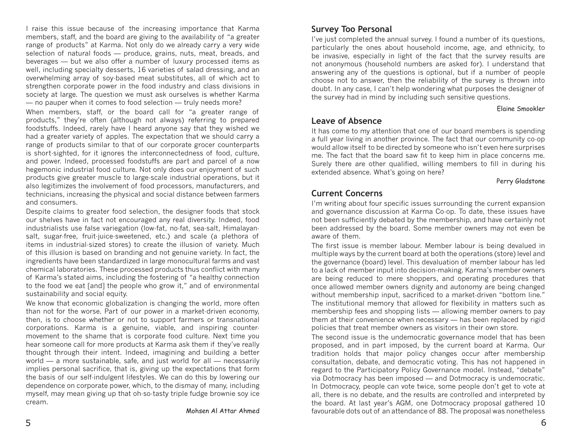I raise this issue because of the increasing importance that Karma members, staff, and the board are giving to the availability of "a greater range of products" at Karma. Not only do we already carry a very wide selection of natural foods — produce, grains, nuts, meat, breads, and beverages — but we also offer a number of luxury processed items as well, including specialty desserts, 16 varieties of salad dressing, and an overwhelming array of soy-based meat substitutes, all of which act to strengthen corporate power in the food industry and class divisions in society at large. The question we must ask ourselves is whether Karma — no pauper when it comes to food selection — truly needs more?

When members, staff, or the board call for "a greater range of products," they're often (although not always) referring to prepared foodstuffs. Indeed, rarely have I heard anyone say that they wished we had a greater variety of apples. The expectation that we should carry a range of products similar to that of our corporate grocer counterparts is short-sighted, for it ignores the interconnectedness of food, culture, and power. Indeed, processed foodstuffs are part and parcel of a now hegemonic industrial food culture. Not only does our enjoyment of such products give greater muscle to large-scale industrial operations, but it also legitimizes the involvement of food processors, manufacturers, and technicians, increasing the physical and social distance between farmers and consumers.

Despite claims to greater food selection, the designer foods that stock our shelves have in fact not encouraged any real diversity. Indeed, food industrialists use false variegation (low-fat, no-fat, sea-salt, Himalayansalt, sugar-free, fruit-juice-sweetened, etc.) and scale (a plethora of items in industrial-sized stores) to create the illusion of variety. Much of this illusion is based on branding and not genuine variety. In fact, the ingredients have been standardized in large monocultural farms and vast chemical laboratories. These processed products thus conflict with many of Karma's stated aims, including the fostering of "a healthy connection to the food we eat [and] the people who grow it," and of environmental sustainability and social equity.

We know that economic globalization is changing the world, more often than not for the worse. Part of our power in a market-driven economy, then, is to choose whether or not to support farmers or transnational corporations. Karma is a genuine, viable, and inspiring countermovement to the shame that is corporate food culture. Next time you hear someone call for more products at Karma ask them if they've really thought through their intent. Indeed, imagining and building a better world — a more sustainable, safe, and just world for all — necessarily implies personal sacrifice, that is, giving up the expectations that form the basis of our self-indulgent lifestyles. We can do this by lowering our dependence on corporate power, which, to the dismay of many, including myself, may mean giving up that oh-so-tasty triple fudge brownie soy ice cream.

## **Survey Too Personal**

I've just completed the annual survey. I found a number of its questions, particularly the ones about household income, age, and ethnicity, to be invasive, especially in light of the fact that the survey results are not anonymous (household numbers are asked for). I understand that answering any of the questions is optional, but if a number of people choose not to answer, then the reliability of the survey is thrown into doubt. In any case, I can't help wondering what purposes the designer of the survey had in mind by including such sensitive questions.

#### Elaine Smookler

### **Leave of Absence**

It has come to my attention that one of our board members is spending a full year living in another province. The fact that our community co-op would allow itself to be directed by someone who isn't even here surprises me. The fact that the board saw fit to keep him in place concerns me. Surely there are other qualified, willing members to fill in during his extended absence. What's going on here?

#### Perry Gladstone

### **Current Concerns**

I'm writing about four specific issues surrounding the current expansion and governance discussion at Karma Co-op. To date, these issues have not been sufficiently debated by the membership, and have certainly not been addressed by the board. Some member owners may not even be aware of them.

The first issue is member labour. Member labour is being devalued in multiple ways by the current board at both the operations (store) level and the governance (board) level. This devaluation of member labour has led to a lack of member input into decision-making. Karma's member owners are being reduced to mere shoppers, and operating procedures that once allowed member owners dignity and autonomy are being changed without membership input, sacrificed to a market-driven "bottom line." The institutional memory that allowed for flexibility in matters such as membership fees and shopping lists — allowing member owners to pay them at their convenience when necessary — has been replaced by rigid policies that treat member owners as visitors in their own store.

The second issue is the undemocratic governance model that has been proposed, and in part imposed, by the current board at Karma. Our tradition holds that major policy changes occur after membership consultation, debate, and democratic voting. This has not happened in regard to the Participatory Policy Governance model. Instead, "debate" via Dotmocracy has been imposed — and Dotmocracy is undemocratic. In Dotmocracy, people can vote twice, some people don't get to vote at all, there is no debate, and the results are controlled and interpreted by the board. At last year's AGM, one Dotmocracy proposal gathered 10 favourable dots out of an attendance of 88. The proposal was nonetheless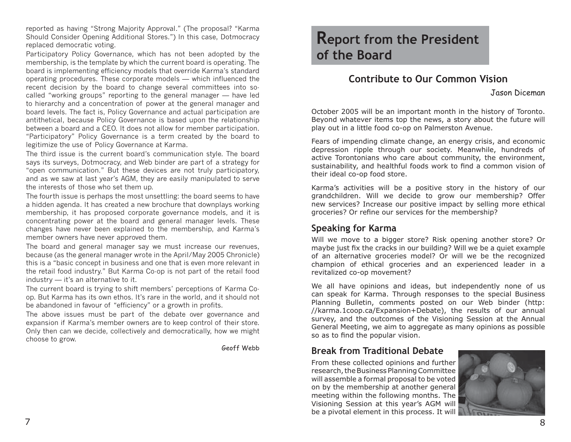reported as having "Strong Majority Approval." (The proposal? "Karma Should Consider Opening Additional Stores.") In this case, Dotmocracy replaced democratic voting.

Participatory Policy Governance, which has not been adopted by the membership, is the template by which the current board is operating. The board is implementing efficiency models that override Karma's standard operating procedures. These corporate models — which influenced the recent decision by the board to change several committees into socalled "working groups" reporting to the general manager — have led to hierarchy and a concentration of power at the general manager and board levels. The fact is, Policy Governance and actual participation are antithetical, because Policy Governance is based upon the relationship between a board and a CEO. It does not allow for member participation. "Participatory" Policy Governance is a term created by the board to legitimize the use of Policy Governance at Karma.

The third issue is the current board's communication style. The board says its surveys, Dotmocracy, and Web binder are part of a strategy for "open communication." But these devices are not truly participatory, and as we saw at last year's AGM, they are easily manipulated to serve the interests of those who set them up.

The fourth issue is perhaps the most unsettling: the board seems to have a hidden agenda. It has created a new brochure that downplays working membership, it has proposed corporate governance models, and it is concentrating power at the board and general manager levels. These changes have never been explained to the membership, and Karma's member owners have never approved them.

The board and general manager say we must increase our revenues, because (as the general manager wrote in the April/May 2005 Chronicle) this is a "basic concept in business and one that is even more relevant in the retail food industry." But Karma Co-op is not part of the retail food industry — it's an alternative to it.

The current board is trying to shift members' perceptions of Karma Coop. But Karma has its own ethos. It's rare in the world, and it should not be abandoned in favour of "efficiency" or a growth in profits.

The above issues must be part of the debate over governance and expansion if Karma's member owners are to keep control of their store. Only then can we decide, collectively and democratically, how we might choose to grow.

Geoff Webb

## **Report from the President of the Board**

## **Contribute to Our Common Vision**

Jason Diceman

October 2005 will be an important month in the history of Toronto. Beyond whatever items top the news, a story about the future will play out in a little food co-op on Palmerston Avenue.

Fears of impending climate change, an energy crisis, and economic depression ripple through our society. Meanwhile, hundreds of active Torontonians who care about community, the environment, sustainability, and healthful foods work to find a common vision of their ideal co-op food store.

Karma's activities will be a positive story in the history of our grandchildren. Will we decide to grow our membership? Offer new services? Increase our positive impact by selling more ethical groceries? Or refine our services for the membership?

## **Speaking for Karma**

Will we move to a bigger store? Risk opening another store? Or maybe just fix the cracks in our building? Will we be a quiet example of an alternative groceries model? Or will we be the recognized champion of ethical groceries and an experienced leader in a revitalized co-op movement?

We all have opinions and ideas, but independently none of us can speak for Karma. Through responses to the special Business Planning Bulletin, comments posted on our Web binder (http: //karma.1coop.ca/Expansion+Debate), the results of our annual survey, and the outcomes of the Visioning Session at the Annual General Meeting, we aim to aggregate as many opinions as possible so as to find the popular vision.

## **Break from Traditional Debate**

From these collected opinions and further research, the Business Planning Committee will assemble a formal proposal to be voted on by the membership at another general meeting within the following months. The Visioning Session at this year's AGM will be a pivotal element in this process. It will

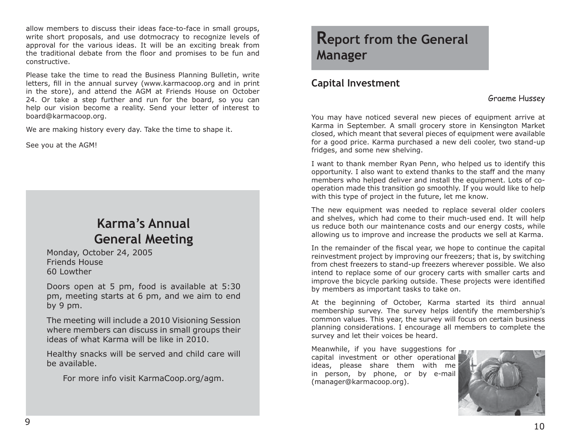allow members to discuss their ideas face-to-face in small groups, write short proposals, and use dotmocracy to recognize levels of approval for the various ideas. It will be an exciting break from the traditional debate from the floor and promises to be fun and constructive.

Please take the time to read the Business Planning Bulletin, write letters, fill in the annual survey (www.karmacoop.org and in print in the store), and attend the AGM at Friends House on October 24. Or take a step further and run for the board, so you can help our vision become a reality. Send your letter of interest to board@karmacoop.org.

We are making history every day. Take the time to shape it.

See you at the AGM!

## **Karma's Annual General Meeting**

Monday, October 24, 2005 Friends House 60 Lowther

Doors open at 5 pm, food is available at 5:30 pm, meeting starts at 6 pm, and we aim to end by 9 pm.

The meeting will include a 2010 Visioning Session where members can discuss in small groups their ideas of what Karma will be like in 2010.

Healthy snacks will be served and child care will be available.

For more info visit KarmaCoop.org/agm.

## **Report from the General Manager**

## **Capital Investment**

### Graeme Hussey

You may have noticed several new pieces of equipment arrive at Karma in September. A small grocery store in Kensington Market closed, which meant that several pieces of equipment were available for a good price. Karma purchased a new deli cooler, two stand-up fridges, and some new shelving.

I want to thank member Ryan Penn, who helped us to identify this opportunity. I also want to extend thanks to the staff and the many members who helped deliver and install the equipment. Lots of cooperation made this transition go smoothly. If you would like to help with this type of project in the future, let me know.

The new equipment was needed to replace several older coolers and shelves, which had come to their much-used end. It will help us reduce both our maintenance costs and our energy costs, while allowing us to improve and increase the products we sell at Karma.

In the remainder of the fiscal year, we hope to continue the capital reinvestment project by improving our freezers; that is, by switching from chest freezers to stand-up freezers wherever possible. We also intend to replace some of our grocery carts with smaller carts and improve the bicycle parking outside. These projects were identified by members as important tasks to take on.

At the beginning of October, Karma started its third annual membership survey. The survey helps identify the membership's common values. This year, the survey will focus on certain business planning considerations. I encourage all members to complete the survey and let their voices be heard.

Meanwhile, if you have suggestions for capital investment or other operational ideas, please share them with me in person, by phone, or by e-mail (manager@karmacoop.org).

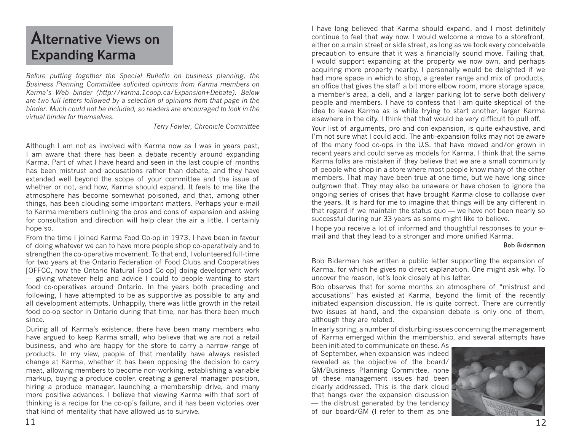## **Alternative Views on Expanding Karma**

*Before putting together the Special Bulletin on business planning, the Business Planning Committee solicited opinions from Karma members on Karma's Web binder (http://karma.1coop.ca/Expansion+Debate). Below are two full letters followed by a selection of opinions from that page in the binder. Much could not be included, so readers are encouraged to look in the virtual binder for themselves.*

*Terry Fowler, Chronicle Committee*

Although I am not as involved with Karma now as I was in years past, I am aware that there has been a debate recently around expanding Karma. Part of what I have heard and seen in the last couple of months has been mistrust and accusations rather than debate, and they have extended well beyond the scope of your committee and the issue of whether or not, and how, Karma should expand. It feels to me like the atmosphere has become somewhat poisoned, and that, among other things, has been clouding some important matters. Perhaps your e-mail to Karma members outlining the pros and cons of expansion and asking for consultation and direction will help clear the air a little. I certainly hope so.

From the time I joined Karma Food Co-op in 1973, I have been in favour of doing whatever we can to have more people shop co-operatively and to strengthen the co-operative movement. To that end, I volunteered full-time for two years at the Ontario Federation of Food Clubs and Cooperatives [OFFCC, now the Ontario Natural Food Co-op] doing development work — giving whatever help and advice I could to people wanting to start food co-operatives around Ontario. In the years both preceding and following, I have attempted to be as supportive as possible to any and all development attempts. Unhappily, there was little growth in the retail food co-op sector in Ontario during that time, nor has there been much since.

During all of Karma's existence, there have been many members who have argued to keep Karma small, who believe that we are not a retail business, and who are happy for the store to carry a narrow range of products. In my view, people of that mentality have always resisted change at Karma, whether it has been opposing the decision to carry meat, allowing members to become non-working, establishing a variable markup, buying a produce cooler, creating a general manager position, hiring a produce manager, launching a membership drive, and many more positive advances. I believe that viewing Karma with that sort of thinking is a recipe for the co-op's failure, and it has been victories over that kind of mentality that have allowed us to survive.

I have long believed that Karma should expand, and I most definitely continue to feel that way now. I would welcome a move to a storefront, either on a main street or side street, as long as we took every conceivable precaution to ensure that it was a financially sound move. Failing that, I would support expanding at the property we now own, and perhaps acquiring more property nearby. I personally would be delighted if we had more space in which to shop, a greater range and mix of products, an office that gives the staff a bit more elbow room, more storage space, a member's area, a deli, and a larger parking lot to serve both delivery people and members. I have to confess that I am quite skeptical of the idea to leave Karma as is while trying to start another, larger Karma elsewhere in the city. I think that that would be very difficult to pull off.

Your list of arguments, pro and con expansion, is quite exhaustive, and I'm not sure what I could add. The anti-expansion folks may not be aware of the many food co-ops in the U.S. that have moved and/or grown in recent years and could serve as models for Karma. I think that the same Karma folks are mistaken if they believe that we are a small community of people who shop in a store where most people know many of the other members. That may have been true at one time, but we have long since outgrown that. They may also be unaware or have chosen to ignore the ongoing series of crises that have brought Karma close to collapse over the years. It is hard for me to imagine that things will be any different in that regard if we maintain the status quo — we have not been nearly so successful during our 33 years as some might like to believe.

I hope you receive a lot of informed and thoughtful responses to your email and that they lead to a stronger and more unified Karma.

#### Bob Biderman

Bob Biderman has written a public letter supporting the expansion of Karma, for which he gives no direct explanation. One might ask why. To uncover the reason, let's look closely at his letter.

Bob observes that for some months an atmosphere of "mistrust and accusations" has existed at Karma, beyond the limit of the recently initiated expansion discussion. He is quite correct. There are currently two issues at hand, and the expansion debate is only one of them, although they are related.

In early spring, a number of disturbing issues concerning the management of Karma emerged within the membership, and several attempts have

been initiated to communicate on these. As of September, when expansion was indeed revealed as the objective of the board/ GM/Business Planning Committee, none of these management issues had been clearly addressed. This is the dark cloud that hangs over the expansion discussion — the distrust generated by the tendency of our board/GM (I refer to them as one

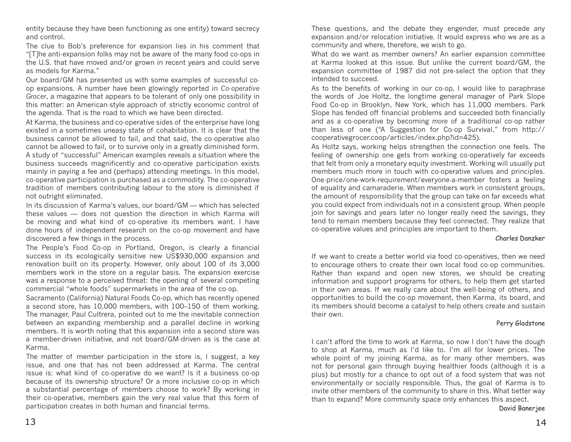entity because they have been functioning as one entity) toward secrecy and control.

The clue to Bob's preference for expansion lies in his comment that "[T]he anti-expansion folks may not be aware of the many food co-ops in the U.S. that have moved and/or grown in recent years and could serve as models for Karma."

Our board/GM has presented us with some examples of successful coop expansions. A number have been glowingly reported in *Co-operative Grocer*, a magazine that appears to be tolerant of only one possibility in this matter: an American-style approach of strictly economic control of the agenda. That is the road to which we have been directed.

At Karma, the business and co-operative sides of the enterprise have long existed in a sometimes uneasy state of cohabitation. It is clear that the business cannot be allowed to fail, and that said, the co-operative also cannot be allowed to fail, or to survive only in a greatly diminished form. A study of "successful" American examples reveals a situation where the business succeeds magnificently and co-operative participation exists mainly in paying a fee and (perhaps) attending meetings. In this model, co-operative participation is purchased as a commodity. The co-operative tradition of members contributing labour to the store is diminished if not outright eliminated.

In its discussion of Karma's values, our board/GM — which has selected these values — does not question the direction in which Karma will be moving and what kind of co-operative its members want. I have done hours of independent research on the co-op movement and have discovered a few things in the process.

The People's Food Co-op in Portland, Oregon, is clearly a financial success in its ecologically sensitive new US\$930,000 expansion and renovation built on its property. However, only about 100 of its 3,000 members work in the store on a regular basis. The expansion exercise was a response to a perceived threat: the opening of several competing commercial "whole foods" supermarkets in the area of the co-op.

Sacramento (California) Natural Foods Co-op, which has recently opened a second store, has 10,000 members, with 100–150 of them working. The manager, Paul Cultrera, pointed out to me the inevitable connection between an expanding membership and a parallel decline in working members. It is worth noting that this expansion into a second store was a member-driven initiative, and not board/GM-driven as is the case at Karma.

The matter of member participation in the store is, I suggest, a key issue, and one that has not been addressed at Karma. The central issue is: what kind of co-operative do we want? Is it a business co-op because of its ownership structure? Or a more inclusive co-op in which a substantial percentage of members choose to work? By working in their co-operative, members gain the very real value that this form of participation creates in both human and financial terms.

These questions, and the debate they engender, must precede any expansion and/or relocation initiative. It would express who we are as a community and where, therefore, we wish to go.

What do we want as member owners? An earlier expansion committee at Karma looked at this issue. But unlike the current board/GM, the expansion committee of 1987 did not pre-select the option that they intended to succeed.

As to the benefits of working in our co-op, I would like to paraphrase the words of Joe Holtz, the longtime general manager of Park Slope Food Co-op in Brooklyn, New York, which has 11,000 members. Park Slope has fended off financial problems and succeeded both financially and as a co-operative by becoming *more* of a traditional co-op rather than less of one ("A Suggestion for Co-op Survival," from http:// cooperativegrocer.coop/articles/index.php?id=425).

As Holtz says, working helps strengthen the connection one feels. The feeling of ownership one gets from working co-operatively far exceeds that felt from only a monetary equity investment. Working will usually put members much more in touch with co-operative values and principles. One-price/one-work-requirement/everyone-a-member fosters a feeling of equality and camaraderie. When members work in consistent groups, the amount of responsibility that the group can take on far exceeds what you could expect from individuals not in a consistent group. When people join for savings and years later no longer really need the savings, they tend to remain members because they feel connected. They realize that co-operative values and principles are important to them.

#### Charles Danzker

If we want to create a better world via food co-operatives, then we need to encourage others to create their own local food co-op communities. Rather than expand and open new stores, we should be creating information and support programs for others, to help them get started in their own areas. If we really care about the well-being of others, and opportunities to build the co-op movement, then Karma, its board, and its members should become a catalyst to help others create and sustain their own.

#### Perry Gladstone

I can't afford the time to work at Karma, so now I don't have the dough to shop at Karma, much as I'd like to. I'm all for lower prices. The whole point of my joining Karma, as for many other members, was not for personal gain through buying healthier foods (although it is a plus) but mostly for a chance to opt out of a food system that was not environmentally or socially responsible. Thus, the goal of Karma is to invite other members of the community to share in this. What better way than to expand? More community space only enhances this aspect.

David Banerjee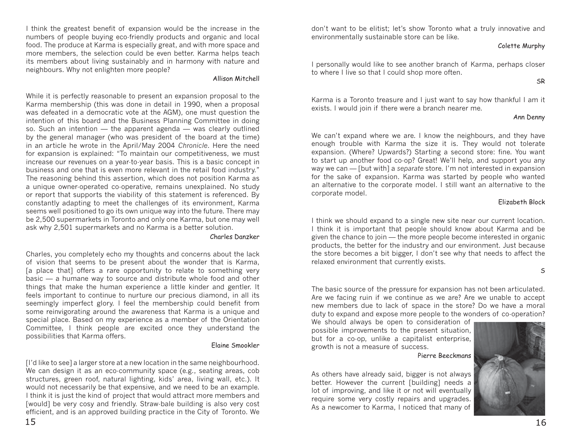I think the greatest benefit of expansion would be the increase in the numbers of people buying eco-friendly products and organic and local food. The produce at Karma is especially great, and with more space and more members, the selection could be even better. Karma helps teach its members about living sustainably and in harmony with nature and neighbours. Why not enlighten more people?

#### Allison Mitchell

While it is perfectly reasonable to present an expansion proposal to the Karma membership (this was done in detail in 1990, when a proposal was defeated in a democratic vote at the AGM), one must question the intention of this board and the Business Planning Committee in doing so. Such an intention — the apparent agenda — was clearly outlined by the general manager (who was president of the board at the time) in an article he wrote in the April/May 2004 *Chronicle*. Here the need for expansion is explained: "To maintain our competitiveness, we must increase our revenues on a year-to-year basis. This is a basic concept in business and one that is even more relevant in the retail food industry." The reasoning behind this assertion, which does not position Karma as a unique owner-operated co-operative, remains unexplained. No study or report that supports the viability of this statement is referenced. By constantly adapting to meet the challenges of its environment, Karma seems well positioned to go its own unique way into the future. There may be 2,500 supermarkets in Toronto and only one Karma, but one may well ask why 2,501 supermarkets and no Karma is a better solution.

#### Charles Danzker

Charles, you completely echo my thoughts and concerns about the lack of vision that seems to be present about the wonder that is Karma, [a place that] offers a rare opportunity to relate to something very basic — a humane way to source and distribute whole food and other things that make the human experience a little kinder and gentler. It feels important to continue to nurture our precious diamond, in all its seemingly imperfect glory. I feel the membership could benefit from some reinvigorating around the awareness that Karma is a unique and special place. Based on my experience as a member of the Orientation Committee, I think people are excited once they understand the possibilities that Karma offers.

#### Elaine Smookler

[I'd like to see] a larger store at a new location in the same neighbourhood. We can design it as an eco-community space (e.g., seating areas, cob structures, green roof, natural lighting, kids' area, living wall, etc.). It would not necessarily be that expensive, and we need to be an example. I think it is just the kind of project that would attract more members and [would] be very cosy and friendly. Straw-bale building is also very cost efficient, and is an approved building practice in the City of Toronto. We don't want to be elitist; let's show Toronto what a truly innovative and environmentally sustainable store can be like.

#### Colette Murphy

I personally would like to see another branch of Karma, perhaps closer to where I live so that I could shop more often.

#### SR

Karma is a Toronto treasure and I just want to say how thankful I am it exists. I would join if there were a branch nearer me.

#### Ann Denny

We can't expand where we are. I know the neighbours, and they have enough trouble with Karma the size it is. They would not tolerate expansion. (Where? Upwards?) Starting a second store: fine. You want to start up another food co-op? Great! We'll help, and support you any way we can — [but with] a *separate* store. I'm not interested in expansion for the sake of expansion. Karma was started by people who wanted an alternative to the corporate model. I still want an alternative to the corporate model.

#### Elizabeth Block

I think we should expand to a single new site near our current location. I think it is important that people should know about Karma and be given the chance to join — the more people become interested in organic products, the better for the industry and our environment. Just because the store becomes a bit bigger, I don't see why that needs to affect the relaxed environment that currently exists.

S

The basic source of the pressure for expansion has not been articulated. Are we facing ruin if we continue as we are? Are we unable to accept new members due to lack of space in the store? Do we have a moral duty to expand and expose more people to the wonders of co-operation?

We should always be open to consideration of possible improvements to the present situation, but for a co-op, unlike a capitalist enterprise, growth is not a measure of success.



Pierre Beeckmans

As others have already said, bigger is not always better. However the current [building] needs a lot of improving, and like it or not will eventually require some very costly repairs and upgrades. As a newcomer to Karma, I noticed that many of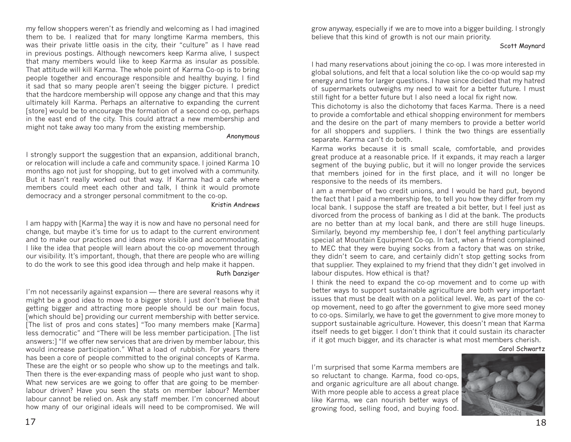my fellow shoppers weren't as friendly and welcoming as I had imagined them to be. I realized that for many longtime Karma members, this was their private little oasis in the city, their "culture" as I have read in previous postings. Although newcomers keep Karma alive, I suspect that many members would like to keep Karma as insular as possible. That attitude will kill Karma. The whole point of Karma Co-op is to bring people together and encourage responsible and healthy buying. I find it sad that so many people aren't seeing the bigger picture. I predict that the hardcore membership will oppose any change and that this may ultimately kill Karma. Perhaps an alternative to expanding the current [store] would be to encourage the formation of a second co-op, perhaps in the east end of the city. This could attract a new membership and might not take away too many from the existing membership.

#### Anonymous

I strongly support the suggestion that an expansion, additional branch, or relocation will include a cafe and community space. I joined Karma 10 months ago not just for shopping, but to get involved with a community. But it hasn't really worked out that way. If Karma had a cafe where members could meet each other and talk, I think it would promote democracy and a stronger personal commitment to the co-op.

#### Kristin Andrews

I am happy with [Karma] the way it is now and have no personal need for change, but maybe it's time for us to adapt to the current environment and to make our practices and ideas more visible and accommodating. I like the idea that people will learn about the co-op movement through our visibility. It's important, though, that there are people who are willing to do the work to see this good idea through and help make it happen.

#### Ruth Danziger

I'm not necessarily against expansion — there are several reasons why it might be a good idea to move to a bigger store. I just don't believe that getting bigger and attracting more people should be our main focus, [which should be] providing our current membership with better service. [The list of pros and cons states] "Too many members make [Karma] less democratic" and "There will be less member participation. [The list answers:] "If we offer new services that are driven by member labour, this would increase participation." What a load of rubbish. For years there has been a core of people committed to the original concepts of Karma. These are the eight or so people who show up to the meetings and talk. Then there is the ever-expanding mass of people who just want to shop. What new services are we going to offer that are going to be memberlabour driven? Have you seen the stats on member labour? Member labour cannot be relied on. Ask any staff member. I'm concerned about how many of our original ideals will need to be compromised. We will

grow anyway, especially if we are to move into a bigger building. I strongly believe that this kind of growth is not our main priority.

#### Scott Maynard

I had many reservations about joining the co-op. I was more interested in global solutions, and felt that a local solution like the co-op would sap my energy and time for larger questions. I have since decided that my hatred of supermarkets outweighs my need to wait for a better future. I must still fight for a better future but I also need a local fix right now.

This dichotomy is also the dichotomy that faces Karma. There is a need to provide a comfortable and ethical shopping environment for members and the desire on the part of many members to provide a better world for all shoppers and suppliers. I think the two things are essentially separate. Karma can't do both.

Karma works because it is small scale, comfortable, and provides great produce at a reasonable price. If it expands, it may reach a larger segment of the buying public, but it will no longer provide the services that members joined for in the first place, and it will no longer be responsive to the needs of its members.

I am a member of two credit unions, and I would be hard put, beyond the fact that I paid a membership fee, to tell you how they differ from my local bank. I suppose the staff are treated a bit better, but I feel just as divorced from the process of banking as I did at the bank. The products are no better than at my local bank, and there are still huge lineups. Similarly, beyond my membership fee, I don't feel anything particularly special at Mountain Equipment Co-op. In fact, when a friend complained to MEC that they were buying socks from a factory that was on strike, they didn't seem to care, and certainly didn't stop getting socks from that supplier. They explained to my friend that they didn't get involved in labour disputes. How ethical is that?

I think the need to expand the co-op movement and to come up with better ways to support sustainable agriculture are both very important issues that must be dealt with on a political level. We, as part of the coop movement, need to go after the government to give more seed money to co-ops. Similarly, we have to get the government to give more money to support sustainable agriculture. However, this doesn't mean that Karma itself needs to get bigger. I don't think that it could sustain its character if it got much bigger, and its character is what most members cherish.

Carol Schwartz

I'm surprised that some Karma members are so reluctant to change. Karma, food co-ops, and organic agriculture are all about change. With more people able to access a great place like Karma, we can nourish better ways of growing food, selling food, and buying food.

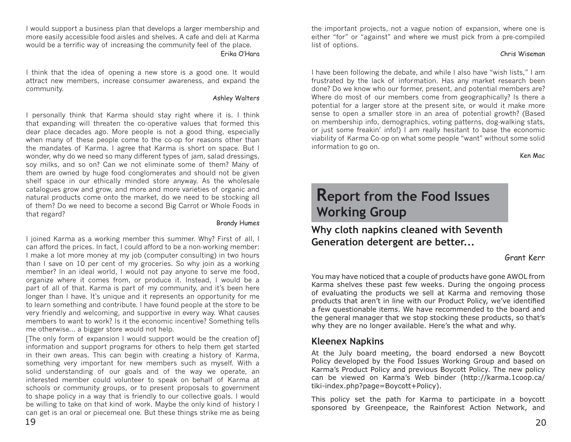I would support a business plan that develops a larger membership and more easily accessible food aisles and shelves. A cafe and deli at Karma would be a terrific way of increasing the community feel of the place. Erika O'Hara

I think that the idea of opening a new store is a good one. It would attract new members, increase consumer awareness, and expand the community.

#### Ashley Walters

I personally think that Karma should stay right where it is. I think that expanding will threaten the co-operative values that formed this dear place decades ago. More people is not a good thing, especially when many of these people come to the co-op for reasons other than the mandates of Karma. I agree that Karma is short on space. But I wonder, why do we need so many different types of jam, salad dressings, soy milks, and so on? Can we not eliminate some of them? Many of them are owned by huge food conglomerates and should not be given shelf space in our ethically minded store anyway. As the wholesale catalogues grow and grow, and more and more varieties of organic and natural products come onto the market, do we need to be stocking all of them? Do we need to become a second Big Carrot or Whole Foods in that regard?

#### Brandy Humes

I joined Karma as a working member this summer. Why? First of all, I can afford the prices. In fact, I could afford to be a non-working member: I make a lot more money at my job (computer consulting) in two hours than I save on 10 per cent of my groceries. So why join as a working member? In an ideal world, I would not pay anyone to serve me food, organize where it comes from, or produce it. Instead, I would be a part of all of that. Karma is part of my community, and it's been here longer than I have. It's unique and it represents an opportunity for me to learn something and contribute. I have found people at the store to be very friendly and welcoming, and supportive in every way. What causes members to want to work? Is it the economic incentive? Something tells me otherwise... a bigger store would not help.

[The only form of expansion I would support would be the creation of] information and support programs for others to help them get started in their own areas. This can begin with creating a history of Karma, something very important for new members such as myself. With a solid understanding of our goals and of the way we operate, an interested member could volunteer to speak on behalf of Karma at schools or community groups, or to present proposals to government to shape policy in a way that is friendly to our collective goals. I would be willing to take on that kind of work. Maybe the only kind of history I can get is an oral or piecemeal one. But these things strike me as being

the important projects, not a vague notion of expansion, where one is either "for" or "against" and where we must pick from a pre-compiled list of options.

#### Chris Wiseman

I have been following the debate, and while I also have "wish lists," I am frustrated by the lack of information. Has any market research been done? Do we know who our former, present, and potential members are? Where do most of our members come from geographically? Is there a potential for a larger store at the present site, or would it make more sense to open a smaller store in an area of potential growth? (Based on membership info, demographics, voting patterns, dog-walking stats, or just some freakin' info!) I am really hesitant to base the economic viability of Karma Co-op on what some people "want" without some solid information to go on.

Ken Mac

## **Report from the Food Issues Working Group**

**Why cloth napkins cleaned with Seventh Generation detergent are better...**

#### Grant Kerr

You may have noticed that a couple of products have gone AWOL from Karma shelves these past few weeks. During the ongoing process of evaluating the products we sell at Karma and removing those products that aren't in line with our Product Policy, we've identified a few questionable items. We have recommended to the board and the general manager that we stop stocking these products, so that's why they are no longer available. Here's the what and why.

### **Kleenex Napkins**

At the July board meeting, the board endorsed a new Boycott Policy developed by the Food Issues Working Group and based on Karma's Product Policy and previous Boycott Policy. The new policy can be viewed on Karma's Web binder (http://karma.1coop.ca/ tiki-index.php?page=Boycott+Policy).

This policy set the path for Karma to participate in a boycott sponsored by Greenpeace, the Rainforest Action Network, and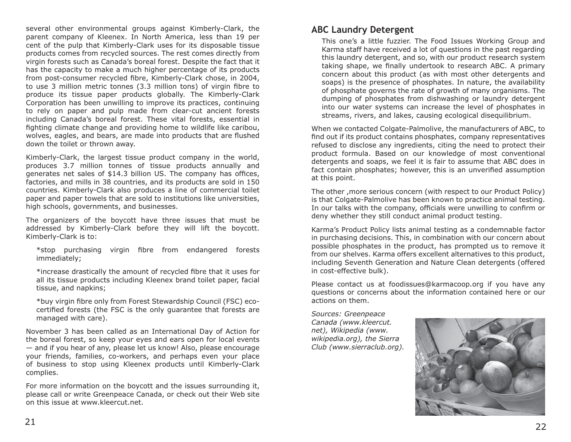several other environmental groups against Kimberly-Clark, the parent company of Kleenex. In North America, less than 19 per cent of the pulp that Kimberly-Clark uses for its disposable tissue products comes from recycled sources. The rest comes directly from virgin forests such as Canada's boreal forest. Despite the fact that it has the capacity to make a much higher percentage of its products from post-consumer recycled fibre, Kimberly-Clark chose, in 2004, to use 3 million metric tonnes (3.3 million tons) of virgin fibre to produce its tissue paper products globally. The Kimberly-Clark Corporation has been unwilling to improve its practices, continuing to rely on paper and pulp made from clear-cut ancient forests including Canada's boreal forest. These vital forests, essential in fighting climate change and providing home to wildlife like caribou, wolves, eagles, and bears, are made into products that are flushed down the toilet or thrown away.

Kimberly-Clark, the largest tissue product company in the world, produces 3.7 million tonnes of tissue products annually and generates net sales of \$14.3 billion US. The company has offices, factories, and mills in 38 countries, and its products are sold in 150 countries. Kimberly-Clark also produces a line of commercial toilet paper and paper towels that are sold to institutions like universities, high schools, governments, and businesses.

The organizers of the boycott have three issues that must be addressed by Kimberly-Clark before they will lift the boycott. Kimberly-Clark is to:

\*stop purchasing virgin fibre from endangered forests immediately;

\*increase drastically the amount of recycled fibre that it uses for all its tissue products including Kleenex brand toilet paper, facial tissue, and napkins;

\*buy virgin fibre only from Forest Stewardship Council (FSC) ecocertified forests (the FSC is the only quarantee that forests are managed with care).

November 3 has been called as an International Day of Action for the boreal forest, so keep your eyes and ears open for local events — and if you hear of any, please let us know! Also, please encourage your friends, families, co-workers, and perhaps even your place of business to stop using Kleenex products until Kimberly-Clark complies.

For more information on the boycott and the issues surrounding it, please call or write Greenpeace Canada, or check out their Web site on this issue at www.kleercut.net.

This one's a little fuzzier. The Food Issues Working Group and Karma staff have received a lot of questions in the past regarding this laundry detergent, and so, with our product research system taking shape, we finally undertook to research ABC. A primary concern about this product (as with most other detergents and soaps) is the presence of phosphates. In nature, the availability of phosphate governs the rate of growth of many organisms. The dumping of phosphates from dishwashing or laundry detergent into our water systems can increase the level of phosphates in streams, rivers, and lakes, causing ecological disequilibrium.

When we contacted Colgate-Palmolive, the manufacturers of ABC, to find out if its product contains phosphates, company representatives refused to disclose any ingredients, citing the need to protect their product formula. Based on our knowledge of most conventional detergents and soaps, we feel it is fair to assume that ABC does in fact contain phosphates; however, this is an unverified assumption at this point.

The other ,more serious concern (with respect to our Product Policy) is that Colgate-Palmolive has been known to practice animal testing. In our talks with the company, officials were unwilling to confirm or deny whether they still conduct animal product testing.

Karma's Product Policy lists animal testing as a condemnable factor in purchasing decisions. This, in combination with our concern about possible phosphates in the product, has prompted us to remove it from our shelves. Karma offers excellent alternatives to this product, including Seventh Generation and Nature Clean detergents (offered in cost-effective bulk).

Please contact us at foodissues@karmacoop.org if you have any questions or concerns about the information contained here or our actions on them.

*Sources: Greenpeace Canada (www.kleercut. net), Wikipedia (www. wikipedia.org), the Sierra Club (www.sierraclub.org).*

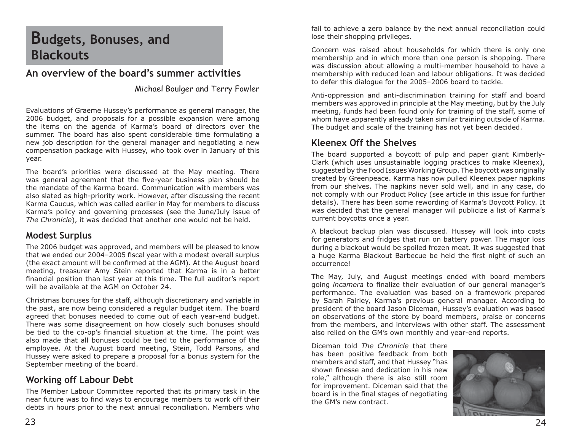## **Budgets, Bonuses, and Blackouts**

## **An overview of the board's summer activities**

### Michael Boulger and Terry Fowler

Evaluations of Graeme Hussey's performance as general manager, the 2006 budget, and proposals for a possible expansion were among the items on the agenda of Karma's board of directors over the summer. The board has also spent considerable time formulating a new job description for the general manager and negotiating a new compensation package with Hussey, who took over in January of this year.

The board's priorities were discussed at the May meeting. There was general agreement that the five-year business plan should be the mandate of the Karma board. Communication with members was also slated as high-priority work. However, after discussing the recent Karma Caucus, which was called earlier in May for members to discuss Karma's policy and governing processes (see the June/July issue of *The Chronicle*), it was decided that another one would not be held.

### **Modest Surplus**

The 2006 budget was approved, and members will be pleased to know that we ended our 2004-2005 fiscal year with a modest overall surplus (the exact amount will be confirmed at the AGM). At the August board meeting, treasurer Amy Stein reported that Karma is in a better financial position than last year at this time. The full auditor's report will be available at the AGM on October 24.

Christmas bonuses for the staff, although discretionary and variable in the past, are now being considered a regular budget item. The board agreed that bonuses needed to come out of each year-end budget. There was some disagreement on how closely such bonuses should be tied to the co-op's financial situation at the time. The point was also made that all bonuses could be tied to the performance of the employee. At the August board meeting, Stein, Todd Parsons, and Hussey were asked to prepare a proposal for a bonus system for the September meeting of the board.

## **Working off Labour Debt**

The Member Labour Committee reported that its primary task in the near future was to find ways to encourage members to work off their debts in hours prior to the next annual reconciliation. Members who

fail to achieve a zero balance by the next annual reconciliation could lose their shopping privileges.

Concern was raised about households for which there is only one membership and in which more than one person is shopping. There was discussion about allowing a multi-member household to have a membership with reduced loan and labour obligations. It was decided to defer this dialogue for the 2005–2006 board to tackle.

Anti-oppression and anti-discrimination training for staff and board members was approved in principle at the May meeting, but by the July meeting, funds had been found only for training of the staff, some of whom have apparently already taken similar training outside of Karma. The budget and scale of the training has not yet been decided.

## **Kleenex Off the Shelves**

The board supported a boycott of pulp and paper giant Kimberly-Clark (which uses unsustainable logging practices to make Kleenex), suggested by the Food Issues Working Group. The boycott was originally created by Greenpeace. Karma has now pulled Kleenex paper napkins from our shelves. The napkins never sold well, and in any case, do not comply with our Product Policy (see article in this issue for further details). There has been some rewording of Karma's Boycott Policy. It was decided that the general manager will publicize a list of Karma's current boycotts once a year.

A blackout backup plan was discussed. Hussey will look into costs for generators and fridges that run on battery power. The major loss during a blackout would be spoiled frozen meat. It was suggested that a huge Karma Blackout Barbecue be held the first night of such an occurrence!

The May, July, and August meetings ended with board members going *incamera* to finalize their evaluation of our general manager's performance. The evaluation was based on a framework prepared by Sarah Fairley, Karma's previous general manager. According to president of the board Jason Diceman, Hussey's evaluation was based on observations of the store by board members, praise or concerns from the members, and interviews with other staff. The assessment also relied on the GM's own monthly and year-end reports.

Diceman told *The Chronicle* that there has been positive feedback from both members and staff, and that Hussey "has shown finesse and dedication in his new role," although there is also still room for improvement. Diceman said that the board is in the final stages of negotiating the GM's new contract.

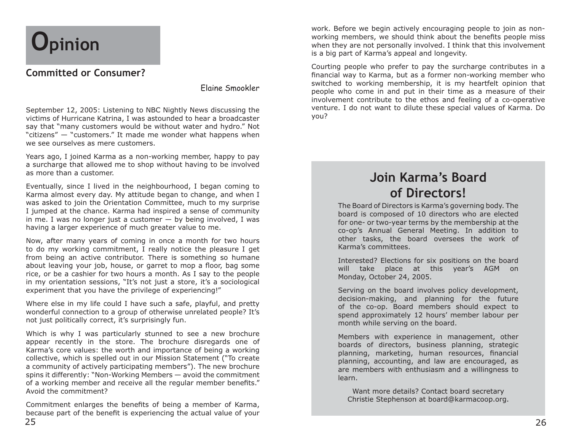# **Opinion**

## **Committed or Consumer?**

Elaine Smookler

September 12, 2005: Listening to NBC Nightly News discussing the victims of Hurricane Katrina, I was astounded to hear a broadcaster say that "many customers would be without water and hydro." Not "citizens" — "customers." It made me wonder what happens when we see ourselves as mere customers.

Years ago, I joined Karma as a non-working member, happy to pay a surcharge that allowed me to shop without having to be involved as more than a customer.

Eventually, since I lived in the neighbourhood, I began coming to Karma almost every day. My attitude began to change, and when I was asked to join the Orientation Committee, much to my surprise I jumped at the chance. Karma had inspired a sense of community in me. I was no longer just a customer  $-$  by being involved, I was having a larger experience of much greater value to me.

Now, after many years of coming in once a month for two hours to do my working commitment, I really notice the pleasure I get from being an active contributor. There is something so humane about leaving your job, house, or garret to mop a floor, bag some rice, or be a cashier for two hours a month. As I say to the people in my orientation sessions, "It's not just a store, it's a sociological experiment that you have the privilege of experiencing!"

Where else in my life could I have such a safe, playful, and pretty wonderful connection to a group of otherwise unrelated people? It's not just politically correct, it's surprisingly fun.

Which is why I was particularly stunned to see a new brochure appear recently in the store. The brochure disregards one of Karma's core values: the worth and importance of being a working collective, which is spelled out in our Mission Statement ("To create a community of actively participating members"). The new brochure spins it differently: "Non-Working Members — avoid the commitment of a working member and receive all the regular member benefits." Avoid the commitment?

Commitment enlarges the benefits of being a member of Karma, because part of the benefit is experiencing the actual value of your work. Before we begin actively encouraging people to join as nonworking members, we should think about the benefits people miss when they are not personally involved. I think that this involvement is a big part of Karma's appeal and longevity.

Courting people who prefer to pay the surcharge contributes in a financial way to Karma, but as a former non-working member who switched to working membership, it is my heartfelt opinion that people who come in and put in their time as a measure of their involvement contribute to the ethos and feeling of a co-operative venture. I do not want to dilute these special values of Karma. Do you?

## **Join Karma's Board of Directors!**

The Board of Directors is Karma's governing body. The board is composed of 10 directors who are elected for one- or two-year terms by the membership at the co-op's Annual General Meeting. In addition to other tasks, the board oversees the work of Karma's committees.

Interested? Elections for six positions on the board will take place at this year's AGM on Monday, October 24, 2005.

Serving on the board involves policy development, decision-making, and planning for the future of the co-op. Board members should expect to spend approximately 12 hours' member labour per month while serving on the board.

Members with experience in management, other boards of directors, business planning, strategic planning, marketing, human resources, financial planning, accounting, and law are encouraged, as are members with enthusiasm and a willingness to learn.

Want more details? Contact board secretary Christie Stephenson at board@karmacoop.org.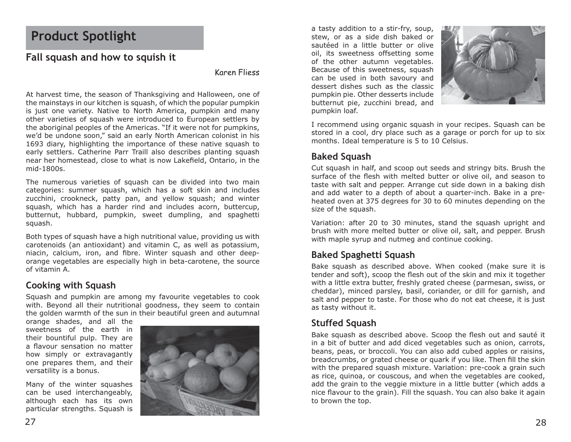## **Product Spotlight**

## **Fall squash and how to squish it**

#### Karen Fliess

At harvest time, the season of Thanksgiving and Halloween, one of the mainstays in our kitchen is squash, of which the popular pumpkin is just one variety. Native to North America, pumpkin and many other varieties of squash were introduced to European settlers by the aboriginal peoples of the Americas. "If it were not for pumpkins, we'd be undone soon," said an early North American colonist in his 1693 diary, highlighting the importance of these native squash to early settlers. Catherine Parr Traill also describes planting squash near her homestead, close to what is now Lakefield, Ontario, in the mid-1800s.

The numerous varieties of squash can be divided into two main categories: summer squash, which has a soft skin and includes zucchini, crookneck, patty pan, and yellow squash; and winter squash, which has a harder rind and includes acorn, buttercup, butternut, hubbard, pumpkin, sweet dumpling, and spaghetti squash.

Both types of squash have a high nutritional value, providing us with carotenoids (an antioxidant) and vitamin C, as well as potassium, niacin, calcium, iron, and fibre. Winter squash and other deeporange vegetables are especially high in beta-carotene, the source of vitamin A.

## **Cooking with Squash**

Squash and pumpkin are among my favourite vegetables to cook with. Beyond all their nutritional goodness, they seem to contain the golden warmth of the sun in their beautiful green and autumnal

orange shades, and all the sweetness of the earth in their bountiful pulp. They are a flavour sensation no matter how simply or extravagantly one prepares them, and their versatility is a bonus.

Many of the winter squashes can be used interchangeably, although each has its own particular strengths. Squash is



a tasty addition to a stir-fry, soup, stew, or as a side dish baked or sautéed in a little butter or olive oil, its sweetness offsetting some of the other autumn vegetables. Because of this sweetness, squash can be used in both savoury and dessert dishes such as the classic pumpkin pie. Other desserts include butternut pie, zucchini bread, and pumpkin loaf.



I recommend using organic squash in your recipes. Squash can be stored in a cool, dry place such as a garage or porch for up to six months. Ideal temperature is 5 to 10 Celsius.

## **Baked Squash**

Cut squash in half, and scoop out seeds and stringy bits. Brush the surface of the flesh with melted butter or olive oil, and season to taste with salt and pepper. Arrange cut side down in a baking dish and add water to a depth of about a quarter-inch. Bake in a preheated oven at 375 degrees for 30 to 60 minutes depending on the size of the squash.

Variation: after 20 to 30 minutes, stand the squash upright and brush with more melted butter or olive oil, salt, and pepper. Brush with maple syrup and nutmeg and continue cooking.

## **Baked Spaghetti Squash**

Bake squash as described above. When cooked (make sure it is tender and soft), scoop the flesh out of the skin and mix it together with a little extra butter, freshly grated cheese (parmesan, swiss, or cheddar), minced parsley, basil, coriander, or dill for garnish, and salt and pepper to taste. For those who do not eat cheese, it is just as tasty without it.

## **Stuffed Squash**

Bake squash as described above. Scoop the flesh out and sauté it in a bit of butter and add diced vegetables such as onion, carrots, beans, peas, or broccoli. You can also add cubed apples or raisins, breadcrumbs, or grated cheese or quark if you like. Then fill the skin with the prepared squash mixture. Variation: pre-cook a grain such as rice, quinoa, or couscous, and when the vegetables are cooked, add the grain to the veggie mixture in a little butter (which adds a nice flavour to the grain). Fill the squash. You can also bake it again to brown the top.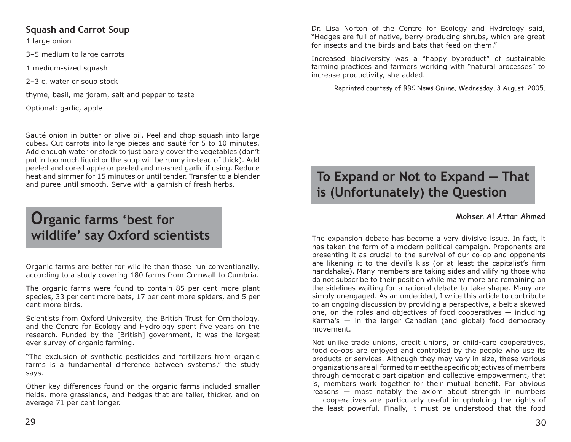## **Squash and Carrot Soup**

1 large onion

3–5 medium to large carrots

1 medium-sized squash

2–3 c. water or soup stock

thyme, basil, marjoram, salt and pepper to taste

Optional: garlic, apple

Sauté onion in butter or olive oil. Peel and chop squash into large cubes. Cut carrots into large pieces and sauté for 5 to 10 minutes. Add enough water or stock to just barely cover the vegetables (don't put in too much liquid or the soup will be runny instead of thick). Add peeled and cored apple or peeled and mashed garlic if using. Reduce heat and simmer for 15 minutes or until tender. Transfer to a blender and puree until smooth. Serve with a garnish of fresh herbs.

## **Organic farms 'best for wildlife' say Oxford scientists**

Organic farms are better for wildlife than those run conventionally, according to a study covering 180 farms from Cornwall to Cumbria.

The organic farms were found to contain 85 per cent more plant species, 33 per cent more bats, 17 per cent more spiders, and 5 per cent more birds.

Scientists from Oxford University, the British Trust for Ornithology, and the Centre for Ecology and Hydrology spent five years on the research. Funded by the [British] government, it was the largest ever survey of organic farming.

"The exclusion of synthetic pesticides and fertilizers from organic farms is a fundamental difference between systems," the study says.

Other key differences found on the organic farms included smaller fields, more grasslands, and hedges that are taller, thicker, and on average 71 per cent longer.

Dr. Lisa Norton of the Centre for Ecology and Hydrology said, "Hedges are full of native, berry-producing shrubs, which are great for insects and the birds and bats that feed on them."

Increased biodiversity was a "happy byproduct" of sustainable farming practices and farmers working with "natural processes" to increase productivity, she added.

Reprinted courtesy of BBC News Online, Wednesday, 3 August, 2005.

## **To Expand or Not to Expand — That is (Unfortunately) the Question**

## Mohsen Al Attar Ahmed

The expansion debate has become a very divisive issue. In fact, it has taken the form of a modern political campaign. Proponents are presenting it as crucial to the survival of our co-op and opponents are likening it to the devil's kiss (or at least the capitalist's firm handshake). Many members are taking sides and vilifying those who do not subscribe to their position while many more are remaining on the sidelines waiting for a rational debate to take shape. Many are simply unengaged. As an undecided, I write this article to contribute to an ongoing discussion by providing a perspective, albeit a skewed one, on the roles and objectives of food cooperatives — including Karma's  $-$  in the larger Canadian (and global) food democracy movement.

Not unlike trade unions, credit unions, or child-care cooperatives, food co-ops are enjoyed and controlled by the people who use its products or services. Although they may vary in size, these various organizations are all formed to meet the specifi c objectives of members through democratic participation and collective empowerment, that is, members work together for their mutual benefit. For obvious reasons — most notably the axiom about strength in numbers — cooperatives are particularly useful in upholding the rights of the least powerful. Finally, it must be understood that the food